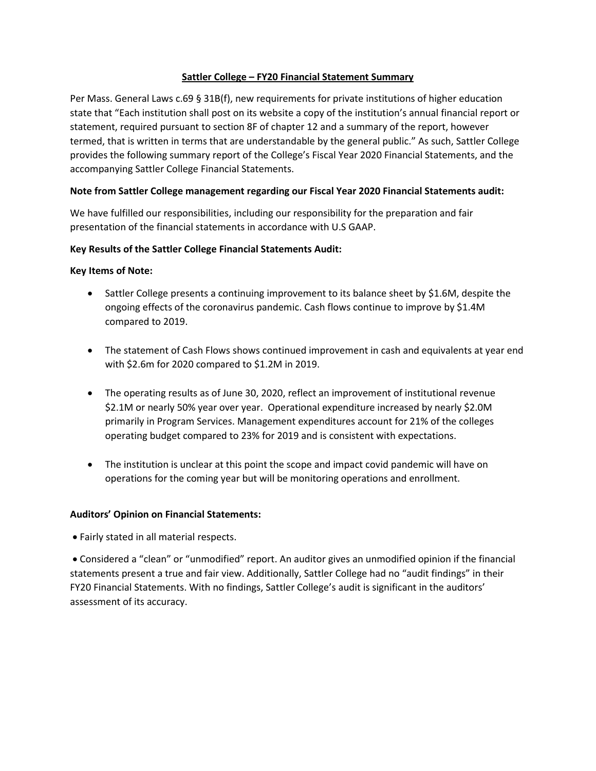### **Sattler College – FY20 Financial Statement Summary**

Per Mass. General Laws c.69 § 31B(f), new requirements for private institutions of higher education state that "Each institution shall post on its website a copy of the institution's annual financial report or statement, required pursuant to section 8F of chapter 12 and a summary of the report, however termed, that is written in terms that are understandable by the general public." As such, Sattler College provides the following summary report of the College's Fiscal Year 2020 Financial Statements, and the accompanying Sattler College Financial Statements.

### **Note from Sattler College management regarding our Fiscal Year 2020 Financial Statements audit:**

We have fulfilled our responsibilities, including our responsibility for the preparation and fair presentation of the financial statements in accordance with U.S GAAP.

### **Key Results of the Sattler College Financial Statements Audit:**

### **Key Items of Note:**

- Sattler College presents a continuing improvement to its balance sheet by \$1.6M, despite the ongoing effects of the coronavirus pandemic. Cash flows continue to improve by \$1.4M compared to 2019.
- The statement of Cash Flows shows continued improvement in cash and equivalents at year end with \$2.6m for 2020 compared to \$1.2M in 2019.
- The operating results as of June 30, 2020, reflect an improvement of institutional revenue \$2.1M or nearly 50% year over year. Operational expenditure increased by nearly \$2.0M primarily in Program Services. Management expenditures account for 21% of the colleges operating budget compared to 23% for 2019 and is consistent with expectations.
- The institution is unclear at this point the scope and impact covid pandemic will have on operations for the coming year but will be monitoring operations and enrollment.

### **Auditors' Opinion on Financial Statements:**

• Fairly stated in all material respects.

• Considered a "clean" or "unmodified" report. An auditor gives an unmodified opinion if the financial statements present a true and fair view. Additionally, Sattler College had no "audit findings" in their FY20 Financial Statements. With no findings, Sattler College's audit is significant in the auditors' assessment of its accuracy.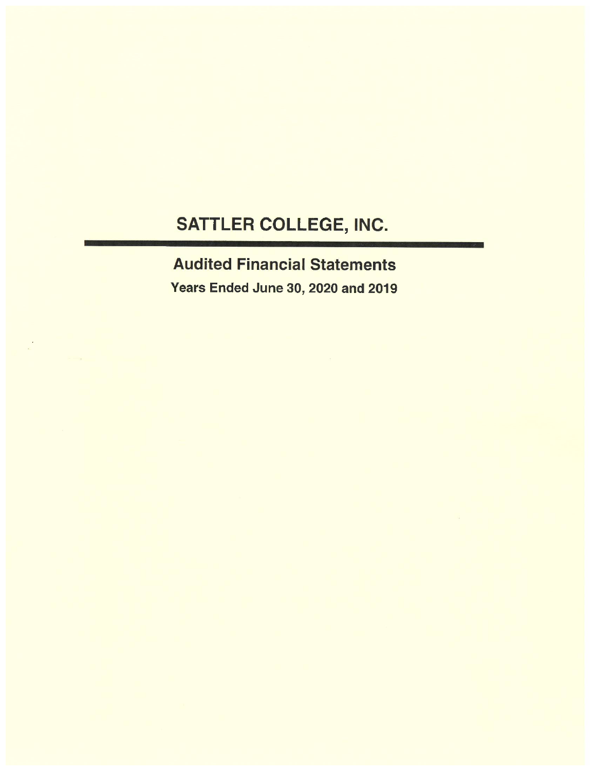# SATTLER COLLEGE, INC.

**Audited Financial Statements** 

Years Ended June 30, 2020 and 2019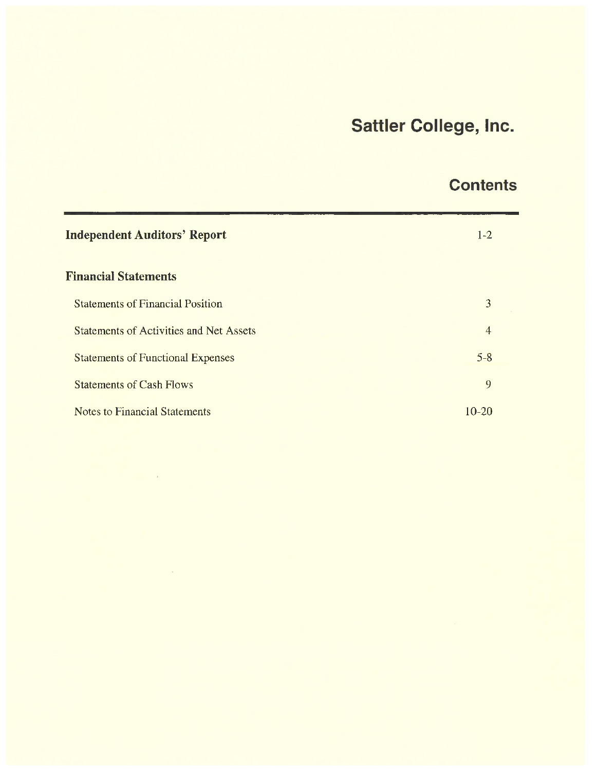## **Contents**

| <b>Independent Auditors' Report</b>            | $1 - 2$        |
|------------------------------------------------|----------------|
| <b>Financial Statements</b>                    |                |
| <b>Statements of Financial Position</b>        | 3              |
| <b>Statements of Activities and Net Assets</b> | $\overline{4}$ |
| <b>Statements of Functional Expenses</b>       | $5 - 8$        |
| <b>Statements of Cash Flows</b>                | 9              |
| <b>Notes to Financial Statements</b>           | $10-20$        |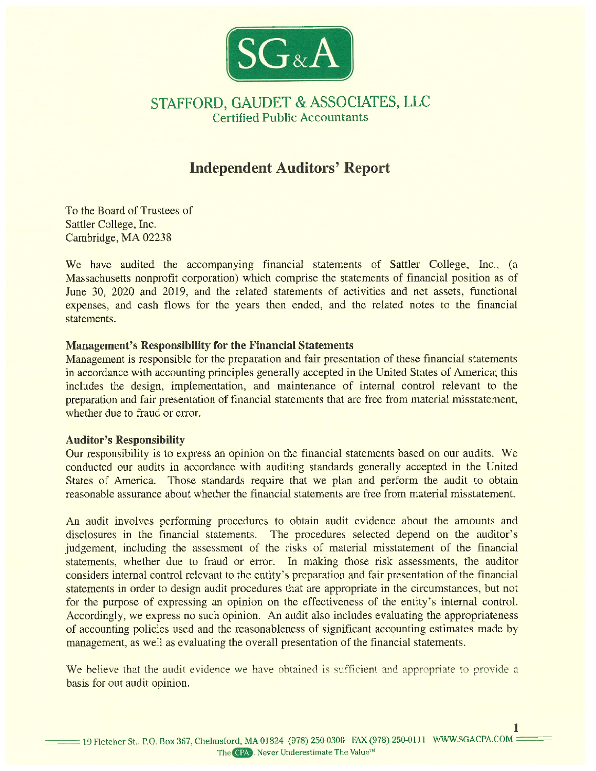

## STAFFORD, GAUDET & ASSOCIATES, LLC **Certified Public Accountants**

## **Independent Auditors' Report**

To the Board of Trustees of Sattler College, Inc. Cambridge, MA 02238

We have audited the accompanying financial statements of Sattler College, Inc., (a Massachusetts nonprofit corporation) which comprise the statements of financial position as of June 30, 2020 and 2019, and the related statements of activities and net assets, functional expenses, and cash flows for the years then ended, and the related notes to the financial statements.

### **Management's Responsibility for the Financial Statements**

Management is responsible for the preparation and fair presentation of these financial statements in accordance with accounting principles generally accepted in the United States of America; this includes the design, implementation, and maintenance of internal control relevant to the preparation and fair presentation of financial statements that are free from material misstatement, whether due to fraud or error.

### **Auditor's Responsibility**

Our responsibility is to express an opinion on the financial statements based on our audits. We conducted our audits in accordance with auditing standards generally accepted in the United States of America. Those standards require that we plan and perform the audit to obtain reasonable assurance about whether the financial statements are free from material misstatement.

An audit involves performing procedures to obtain audit evidence about the amounts and disclosures in the financial statements. The procedures selected depend on the auditor's judgement, including the assessment of the risks of material misstatement of the financial statements, whether due to fraud or error. In making those risk assessments, the auditor considers internal control relevant to the entity's preparation and fair presentation of the financial statements in order to design audit procedures that are appropriate in the circumstances, but not for the purpose of expressing an opinion on the effectiveness of the entity's internal control. Accordingly, we express no such opinion. An audit also includes evaluating the appropriateness of accounting policies used and the reasonableness of significant accounting estimates made by management, as well as evaluating the overall presentation of the financial statements.

We believe that the audit evidence we have obtained is sufficient and appropriate to provide a basis for out audit opinion.

1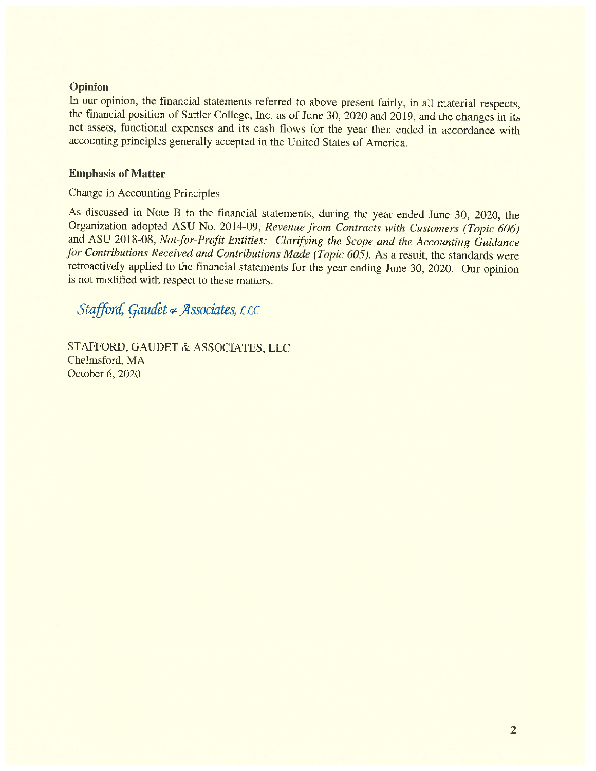### **Opinion**

In our opinion, the financial statements referred to above present fairly, in all material respects, the financial position of Sattler College, Inc. as of June 30, 2020 and 2019, and the changes in its net assets, functional expenses and its cash flows for the year then ended in accordance with accounting principles generally accepted in the United States of America.

### **Emphasis of Matter**

### **Change in Accounting Principles**

As discussed in Note B to the financial statements, during the year ended June 30, 2020, the Organization adopted ASU No. 2014-09, Revenue from Contracts with Customers (Topic 606) and ASU 2018-08, Not-for-Profit Entities: Clarifying the Scope and the Accounting Guidance for Contributions Received and Contributions Made (Topic 605). As a result, the standards were retroactively applied to the financial statements for the year ending June 30, 2020. Our opinion is not modified with respect to these matters.

Stafford, Gaudet & Associates, LLC

STAFFORD, GAUDET & ASSOCIATES, LLC Chelmsford, MA October 6, 2020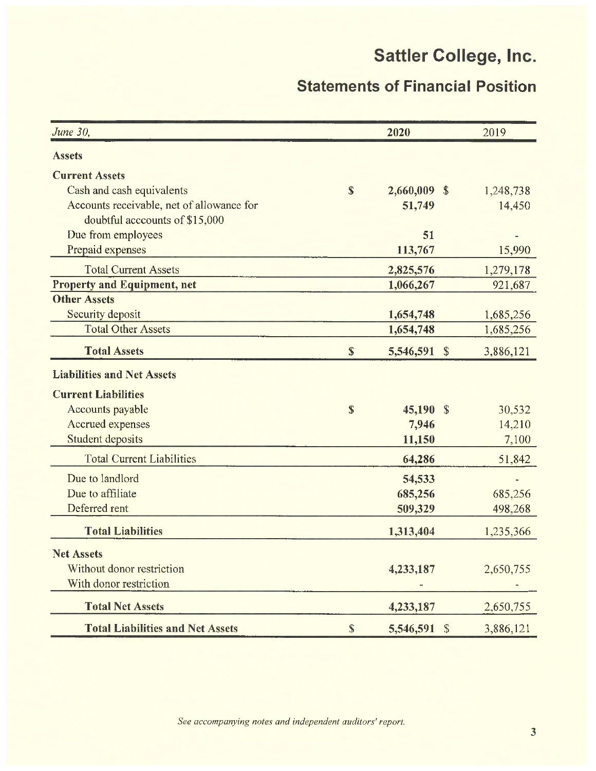# **Statements of Financial Position**

| June 30,                                  |              | 2020                       | 2019      |
|-------------------------------------------|--------------|----------------------------|-----------|
| <b>Assets</b>                             |              |                            |           |
| <b>Current Assets</b>                     |              |                            |           |
| Cash and cash equivalents                 | $\mathbf{s}$ | 2,660,009 \$               | 1,248,738 |
| Accounts receivable, net of allowance for |              | 51,749                     | 14,450    |
| doubtful acccounts of \$15,000            |              |                            |           |
| Due from employees                        |              | 51                         |           |
| Prepaid expenses                          |              | 113,767                    | 15,990    |
| <b>Total Current Assets</b>               |              | 2,825,576                  | 1,279,178 |
| Property and Equipment, net               |              | 1,066,267                  | 921,687   |
| <b>Other Assets</b>                       |              |                            |           |
| Security deposit                          |              | 1,654,748                  | 1,685,256 |
| <b>Total Other Assets</b>                 |              | 1,654,748                  | 1,685,256 |
| <b>Total Assets</b>                       | $\mathbb{S}$ | 5,546,591<br>$\mathcal{S}$ | 3,886,121 |
| <b>Liabilities and Net Assets</b>         |              |                            |           |
| <b>Current Liabilities</b>                |              |                            |           |
| Accounts payable                          | \$           | $45,190$ \$                | 30,532    |
| Accrued expenses                          |              | 7,946                      | 14,210    |
| <b>Student deposits</b>                   |              | 11,150                     | 7,100     |
| <b>Total Current Liabilities</b>          |              | 64,286                     | 51,842    |
| Due to landlord                           |              | 54,533                     |           |
| Due to affiliate                          |              | 685,256                    | 685,256   |
| Deferred rent                             |              | 509,329                    | 498,268   |
| <b>Total Liabilities</b>                  |              | 1,313,404                  | 1,235,366 |
| <b>Net Assets</b>                         |              |                            |           |
| Without donor restriction                 |              | 4,233,187                  | 2,650,755 |
| With donor restriction                    |              |                            |           |
|                                           |              |                            |           |
| <b>Total Net Assets</b>                   |              | 4,233,187                  | 2,650,755 |
| <b>Total Liabilities and Net Assets</b>   | $\mathbb{S}$ | 5,546,591<br>$\sqrt{\ }$   | 3,886,121 |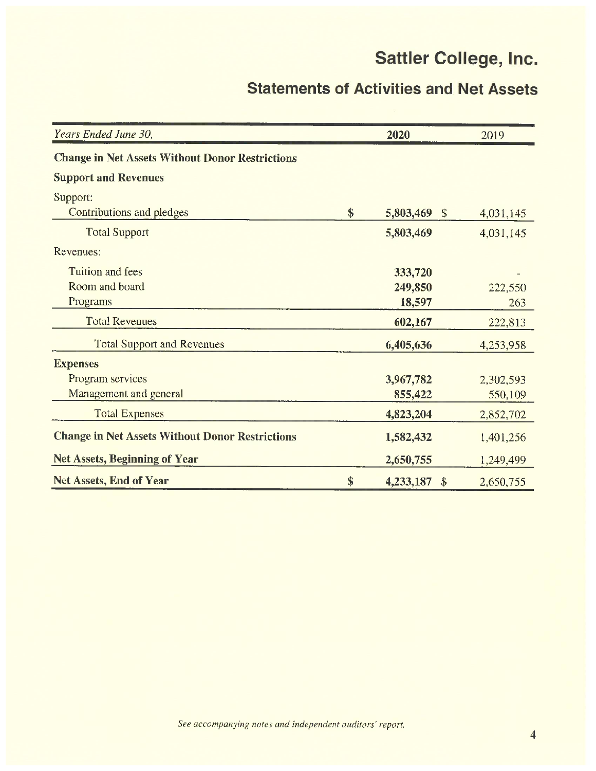# **Statements of Activities and Net Assets**

| Years Ended June 30,                                   | 2020                                  | 2019      |
|--------------------------------------------------------|---------------------------------------|-----------|
| <b>Change in Net Assets Without Donor Restrictions</b> |                                       |           |
| <b>Support and Revenues</b>                            |                                       |           |
| Support:                                               |                                       |           |
| Contributions and pledges                              | \$<br>5,803,469 \$                    | 4,031,145 |
| <b>Total Support</b>                                   | 5,803,469                             | 4,031,145 |
| Revenues:                                              |                                       |           |
| <b>Tuition and fees</b>                                | 333,720                               |           |
| Room and board                                         | 249,850                               | 222,550   |
| Programs                                               | 18,597                                | 263       |
| <b>Total Revenues</b>                                  | 602,167                               | 222,813   |
| <b>Total Support and Revenues</b>                      | 6,405,636                             | 4,253,958 |
| <b>Expenses</b>                                        |                                       |           |
| Program services                                       | 3,967,782                             | 2,302,593 |
| Management and general                                 | 855,422                               | 550,109   |
| <b>Total Expenses</b>                                  | 4,823,204                             | 2,852,702 |
| <b>Change in Net Assets Without Donor Restrictions</b> | 1,582,432                             | 1,401,256 |
| <b>Net Assets, Beginning of Year</b>                   | 2,650,755                             | 1,249,499 |
| <b>Net Assets, End of Year</b>                         | \$<br>4,233,187<br>$\mathbf{\hat{S}}$ | 2,650,755 |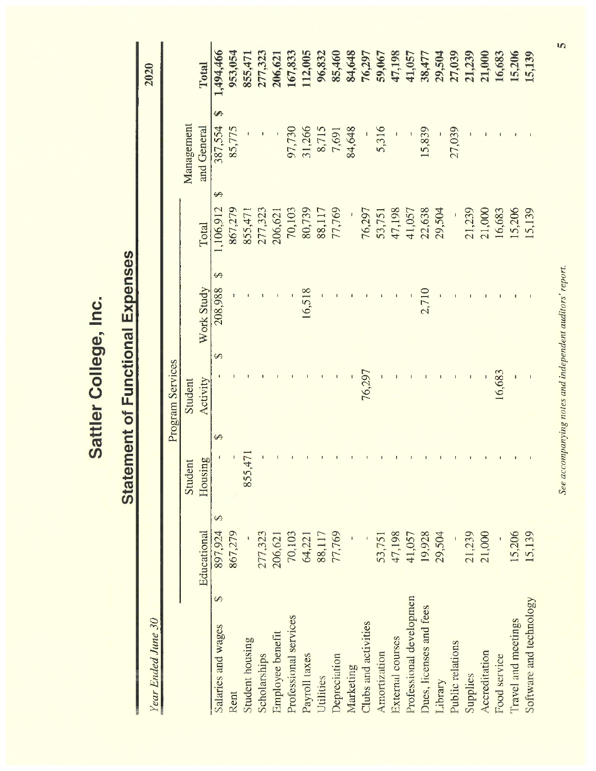# **Statement of Functional Expenses**

| Year Ended June 30      |              |         |                  |                          |                            |                      | 2020      |
|-------------------------|--------------|---------|------------------|--------------------------|----------------------------|----------------------|-----------|
|                         |              |         | Program Services |                          |                            |                      |           |
|                         |              | Student | Student          |                          |                            | Management           |           |
|                         | Educational  | Housing | Activity         | Work Study               | Total                      | and General          | Total     |
| S<br>Salaries and wages | 5<br>897,924 |         | $\varphi$        | $\Theta$<br>208,988<br>5 | $\rightarrow$<br>1,106,912 | <b>SA</b><br>387,554 | 1,494,466 |
| Rent                    | 867,279      |         |                  |                          | 867,279                    | 85,775               | 953,054   |
| Student housing         |              | 855,47  |                  |                          | 855,471                    |                      | 855,471   |
| Scholarships            | 277,323      |         |                  |                          | 277,323                    |                      | 277,323   |
| Employee benefit        | 206,621      |         |                  |                          | 206,621                    |                      | 206,62    |
| Professional services   | 70,103       |         |                  |                          | 70,103                     | 97,730               | 167,833   |
| Payroll taxes           | 64,221       |         |                  | 16,518                   | 80,739                     | 31,266               | 112,005   |
| Utilities               | 88,117       |         |                  |                          | 88,117                     | 8,715                | 96,832    |
| Depreciation            | 77,769       |         |                  |                          | 77,769                     | 7,691                | 85,460    |
| Marketing               |              |         |                  |                          |                            | 84,648               | 84,648    |
| Clubs and activities    |              |         | 76,297           |                          | 76,297                     |                      | 76,297    |
| Amortization            | 53,751       |         |                  |                          | 53,751                     | 5,316                | 59,067    |
| External courses        | 47,198       |         |                  |                          | 47,198                     |                      | 47,198    |
| Professional developmen | 41,057       |         |                  |                          | 41,057                     |                      | 41,057    |
| Dues, licenses and fees | 19,928       |         |                  | 2,710                    | 22,638                     | 15,839               | 38,477    |
| Library                 | 29,504       |         |                  |                          | 29,504                     |                      | 29,504    |
| Public relations        |              |         |                  |                          |                            | 27,039               | 27,039    |
| Supplies                | 21,239       |         |                  |                          | 21,239                     |                      | 21,239    |
| Accreditation           | 21,000       |         |                  |                          | 21,000                     |                      | 21,000    |
| Food service            |              |         | 16,683           |                          | 16,683                     |                      | 16,683    |
| Travel and meetings     | 15,206       |         |                  |                          | 15,206                     |                      | 15,206    |
| Software and technology | 15,139       |         |                  |                          | 15,139                     |                      | 15,139    |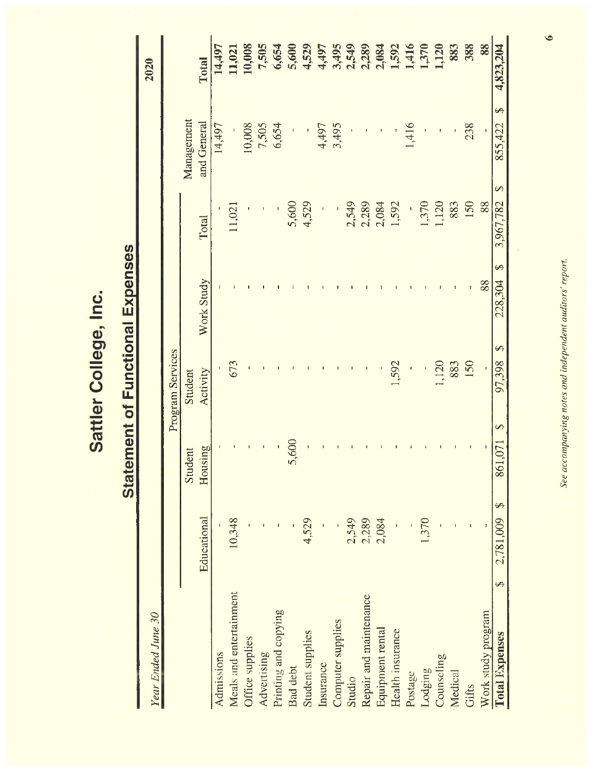# **Statement of Functional Expenses**

| Year Ended June 30         |                                |                      |                  |                      |                                |              | 2020      |
|----------------------------|--------------------------------|----------------------|------------------|----------------------|--------------------------------|--------------|-----------|
|                            |                                |                      | Program Services |                      |                                |              |           |
|                            |                                | Student              | Student          |                      |                                | Management   |           |
|                            | Educational                    | Housing              | Activity         | Work Study           | Total                          | and General  | Total     |
| Admissions                 |                                |                      |                  |                      |                                | 14,497       | 14,497    |
| Meals and entertainment    | 10,348                         |                      | 673              |                      | 11,021                         |              | 11,021    |
| Office supplies            |                                |                      |                  |                      |                                | 10,008       | 10,008    |
| Advertising                |                                |                      |                  |                      |                                | 7,505        | 7,505     |
| Printing and copying       |                                |                      |                  |                      |                                | 6,654        | 6,654     |
| <b>Bad</b> debt            |                                | 5,600                |                  |                      | 5,600                          |              | 5,600     |
| Student supplies           | 4,529                          |                      |                  |                      | 4,529                          |              | 4,529     |
| Insurance                  |                                |                      |                  |                      | $\overline{\phantom{a}}$       | 4,497        | 4,497     |
| Computer supplies          |                                |                      |                  |                      |                                | 3,495        | 3,495     |
| Studio                     | 2,549                          |                      |                  |                      | 2,549                          |              | 2,549     |
| Repair and maintenance     | 2,289                          |                      |                  |                      | 2,289                          |              | 2,289     |
| Equipment rental           | 2,084                          |                      |                  |                      | 2,084                          |              | 2,084     |
| Health insurance           | $\mathbf{I}$                   |                      | 1,592            |                      | 1,592                          |              | 1,592     |
| Postage                    |                                |                      |                  |                      | 1                              | 1,416        | 1,416     |
| Lodging                    | 1,370                          |                      | $\mathbf{I}$     |                      | 1,370                          |              | 1,370     |
| Counseling                 |                                |                      | ,120             |                      | 1,120                          | ŧ            | 1,120     |
| Medical                    |                                |                      | 883              |                      | 883                            |              | 883       |
| <b>Gifts</b>               | $\mathfrak l$                  |                      | 150              |                      | 150                            | 238          | 388       |
| Work study program         |                                |                      | $\mathsf I$      | 88                   | 88                             |              | 88        |
| S<br><b>Total Expenses</b> | $\leftrightarrow$<br>2,781,009 | $\varphi$<br>861,071 | ↔<br>97,398      | $\varphi$<br>228,304 | $\leftrightarrow$<br>3,967,782 | Ø<br>855,422 | 4,823,204 |

See accompanying notes and independent auditors' report.

 $\bullet$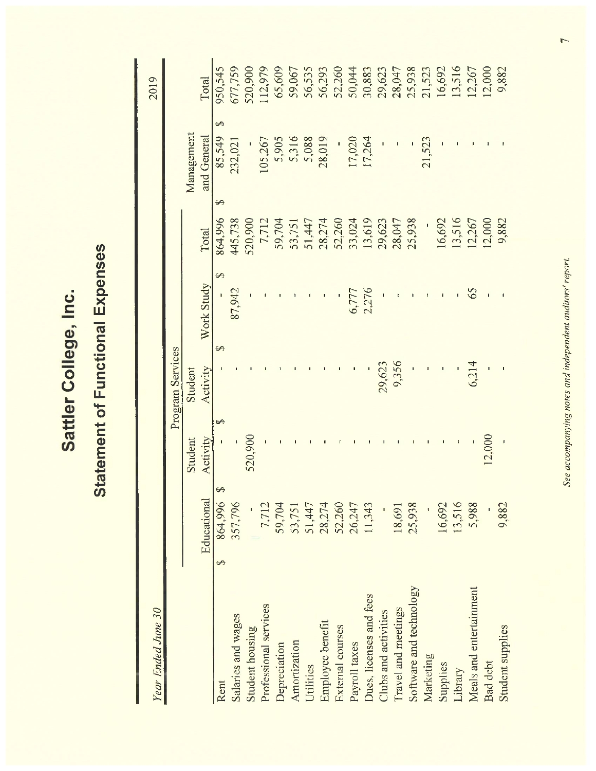# **Statement of Functional Expenses**

2019

Year Ended June 30

|                         |                                    |            | Program Services |            |            |                              |         |
|-------------------------|------------------------------------|------------|------------------|------------|------------|------------------------------|---------|
|                         |                                    | Student    | Student          |            |            | Management                   |         |
|                         | Educational                        | Activity   | Activity         | Work Study | Total      | and General                  | Total   |
| Rent                    | $\leftrightarrow$<br>864,996<br>Đ, | $\epsilon$ |                  | S<br>↔     | 864,996    | $\rightarrow$<br>85,549<br>⊷ | 950,545 |
| Salaries and wages      | 357,796                            |            |                  | 87,942     | 445,738    | 232,021                      | 677,759 |
| Student housing         |                                    | 520,900    |                  |            | 520,900    |                              | 520,900 |
| Professional services   | 7,712                              |            |                  |            | 7,712      | 105,267                      | 12,979  |
| Depreciation            | 59,704                             |            |                  |            | 59,704     | 5,905                        | 65,609  |
| Amortization            | 53,751                             |            |                  |            | 53,751     | 5,316                        | 59,067  |
| Utilities               | 51,447                             |            |                  |            | 51,447     | 5,088                        | 56,535  |
| Employee benefit        | 28,274                             |            |                  |            | 28,274     | 28,019                       | 56,293  |
| External courses        | 52,260                             |            |                  |            | 52,260     |                              | 52,260  |
| Payroll taxes           | 26,247                             |            |                  | 6,777      | 33,024     | 17,020                       | 50,044  |
| Dues, licenses and fees | 11,343                             |            |                  | 2,276      | 13,619     | 17,264                       | 30,883  |
| Clubs and activities    |                                    |            | 29,623           |            | 29,623     |                              | 29,623  |
| Travel and meetings     | 18,691                             |            | 9,356            |            | 28,047     |                              | 28,047  |
| Software and technology | 25,938                             |            |                  |            | 25,938     |                              | 25,938  |
| Marketing               |                                    |            |                  |            |            | 21,523                       | 21,523  |
| Supplies                | 16,692                             |            |                  |            | 16,692     |                              | 16,692  |
| Library                 | 13,516                             |            |                  |            | 13,516     |                              | 13,516  |
| Meals and entertainment | 5,988                              |            | 6,214            | 65         | 12,267     |                              | 12,267  |
| Bad debt                |                                    | 12,000     |                  |            | $12{,}000$ |                              | 12,000  |
| Student supplies        | 9,882                              |            |                  |            | 9,882      |                              | 9,882   |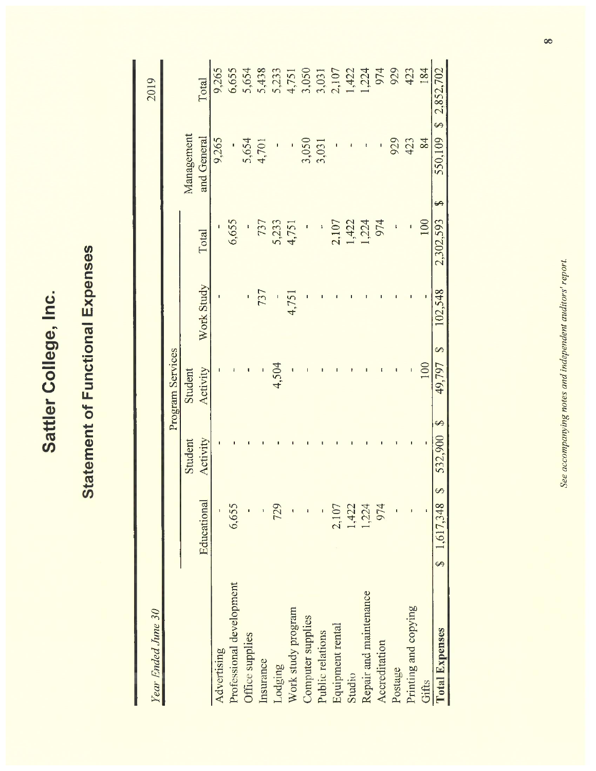# **Statement of Functional Expenses**

9,265 6,655 5,654 5,438 5,233<br>4,751<br>3,050<br>3,031 1,224 974 929 423 2,107 184 1,422 2,852,702 2019 Total S Management 3,050 and General 9,265 5,654 929 4,701 3,031 423 84 550,109  $\overline{\phantom{a}}$  $\mathbf{I}$  $\mathbf{r}$ 5A  $100$ 6,655 737 5,233 2,107 ,422 .224 974 4,751 2,302,593  $\mathbf{r}$ Total Work Study 737 102,548 4,751 ī  $\mathbf{r}$  $\overline{\phantom{a}}$ ı  $\mathbf{I}$ Ø Program Services 100 4,504 49,797 Activity Student S 532,900 Activity Student  $\bullet$ Educational 6,655 729  $1,422$ 1,224 974 1.617,348 2,107 þ Ø Professional development Repair and maintenance Work study program Printing and copying Year Ended June 30 Computer supplies Equipment rental **Total Expenses** Public relations Office supplies Accreditation Advertising Insurance Lodging Postage Studio Gifts

 $\infty$